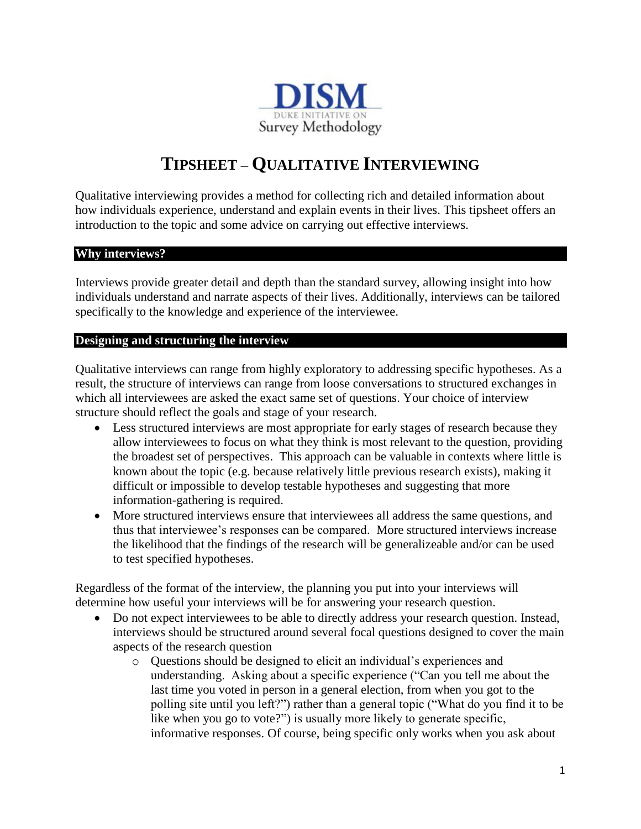

# **TIPSHEET – QUALITATIVE INTERVIEWING**

Qualitative interviewing provides a method for collecting rich and detailed information about how individuals experience, understand and explain events in their lives. This tipsheet offers an introduction to the topic and some advice on carrying out effective interviews.

#### **Why interviews?**

Interviews provide greater detail and depth than the standard survey, allowing insight into how individuals understand and narrate aspects of their lives. Additionally, interviews can be tailored specifically to the knowledge and experience of the interviewee.

#### **Designing and structuring the interview**

Qualitative interviews can range from highly exploratory to addressing specific hypotheses. As a result, the structure of interviews can range from loose conversations to structured exchanges in which all interviewees are asked the exact same set of questions. Your choice of interview structure should reflect the goals and stage of your research.

- Less structured interviews are most appropriate for early stages of research because they allow interviewees to focus on what they think is most relevant to the question, providing the broadest set of perspectives. This approach can be valuable in contexts where little is known about the topic (e.g. because relatively little previous research exists), making it difficult or impossible to develop testable hypotheses and suggesting that more information-gathering is required.
- More structured interviews ensure that interviewees all address the same questions, and thus that interviewee's responses can be compared. More structured interviews increase the likelihood that the findings of the research will be generalizeable and/or can be used to test specified hypotheses.

Regardless of the format of the interview, the planning you put into your interviews will determine how useful your interviews will be for answering your research question.

- Do not expect interviewees to be able to directly address your research question. Instead, interviews should be structured around several focal questions designed to cover the main aspects of the research question
	- o Questions should be designed to elicit an individual's experiences and understanding. Asking about a specific experience ("Can you tell me about the last time you voted in person in a general election, from when you got to the polling site until you left?") rather than a general topic ("What do you find it to be like when you go to vote?") is usually more likely to generate specific, informative responses. Of course, being specific only works when you ask about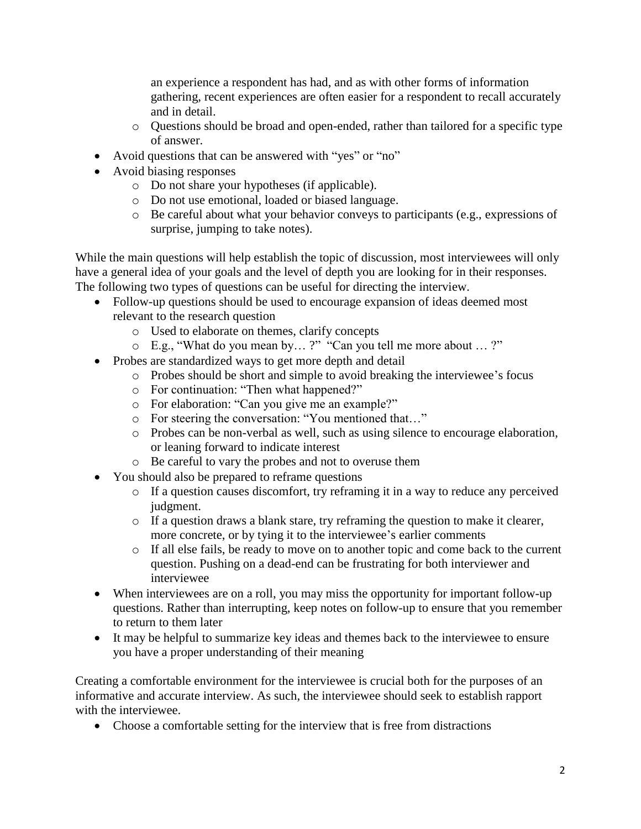an experience a respondent has had, and as with other forms of information gathering, recent experiences are often easier for a respondent to recall accurately and in detail.

- o Questions should be broad and open-ended, rather than tailored for a specific type of answer.
- Avoid questions that can be answered with "yes" or "no"
- Avoid biasing responses
	- o Do not share your hypotheses (if applicable).
	- o Do not use emotional, loaded or biased language.
	- o Be careful about what your behavior conveys to participants (e.g., expressions of surprise, jumping to take notes).

While the main questions will help establish the topic of discussion, most interviewees will only have a general idea of your goals and the level of depth you are looking for in their responses. The following two types of questions can be useful for directing the interview.

- Follow-up questions should be used to encourage expansion of ideas deemed most relevant to the research question
	- o Used to elaborate on themes, clarify concepts
	- o E.g., "What do you mean by… ?" "Can you tell me more about … ?"
- Probes are standardized ways to get more depth and detail
	- o Probes should be short and simple to avoid breaking the interviewee's focus
	- o For continuation: "Then what happened?"
	- o For elaboration: "Can you give me an example?"
	- o For steering the conversation: "You mentioned that…"
	- o Probes can be non-verbal as well, such as using silence to encourage elaboration, or leaning forward to indicate interest
	- o Be careful to vary the probes and not to overuse them
- You should also be prepared to reframe questions
	- o If a question causes discomfort, try reframing it in a way to reduce any perceived judgment.
	- o If a question draws a blank stare, try reframing the question to make it clearer, more concrete, or by tying it to the interviewee's earlier comments
	- o If all else fails, be ready to move on to another topic and come back to the current question. Pushing on a dead-end can be frustrating for both interviewer and interviewee
- When interviewees are on a roll, you may miss the opportunity for important follow-up questions. Rather than interrupting, keep notes on follow-up to ensure that you remember to return to them later
- It may be helpful to summarize key ideas and themes back to the interviewee to ensure you have a proper understanding of their meaning

Creating a comfortable environment for the interviewee is crucial both for the purposes of an informative and accurate interview. As such, the interviewee should seek to establish rapport with the interviewee.

• Choose a comfortable setting for the interview that is free from distractions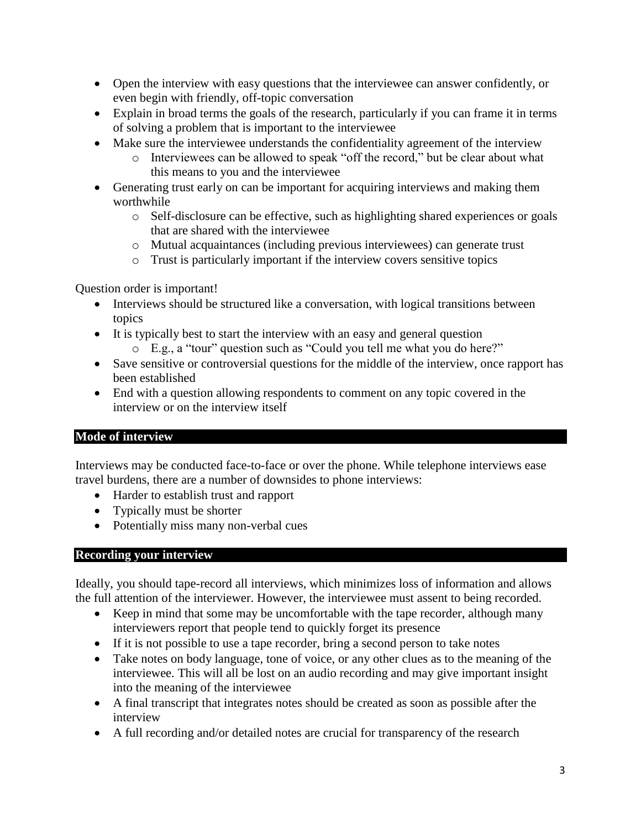- Open the interview with easy questions that the interviewee can answer confidently, or even begin with friendly, off-topic conversation
- Explain in broad terms the goals of the research, particularly if you can frame it in terms of solving a problem that is important to the interviewee
- Make sure the interviewee understands the confidentiality agreement of the interview
	- o Interviewees can be allowed to speak "off the record," but be clear about what this means to you and the interviewee
- Generating trust early on can be important for acquiring interviews and making them worthwhile
	- o Self-disclosure can be effective, such as highlighting shared experiences or goals that are shared with the interviewee
	- o Mutual acquaintances (including previous interviewees) can generate trust
	- o Trust is particularly important if the interview covers sensitive topics

Question order is important!

- Interviews should be structured like a conversation, with logical transitions between topics
- It is typically best to start the interview with an easy and general question o E.g., a "tour" question such as "Could you tell me what you do here?"
- Save sensitive or controversial questions for the middle of the interview, once rapport has been established
- End with a question allowing respondents to comment on any topic covered in the interview or on the interview itself

## **Mode of interview**

Interviews may be conducted face-to-face or over the phone. While telephone interviews ease travel burdens, there are a number of downsides to phone interviews:

- Harder to establish trust and rapport
- Typically must be shorter
- Potentially miss many non-verbal cues

### **Recording your interview**

Ideally, you should tape-record all interviews, which minimizes loss of information and allows the full attention of the interviewer. However, the interviewee must assent to being recorded.

- Keep in mind that some may be uncomfortable with the tape recorder, although many interviewers report that people tend to quickly forget its presence
- If it is not possible to use a tape recorder, bring a second person to take notes
- Take notes on body language, tone of voice, or any other clues as to the meaning of the interviewee. This will all be lost on an audio recording and may give important insight into the meaning of the interviewee
- A final transcript that integrates notes should be created as soon as possible after the interview
- A full recording and/or detailed notes are crucial for transparency of the research